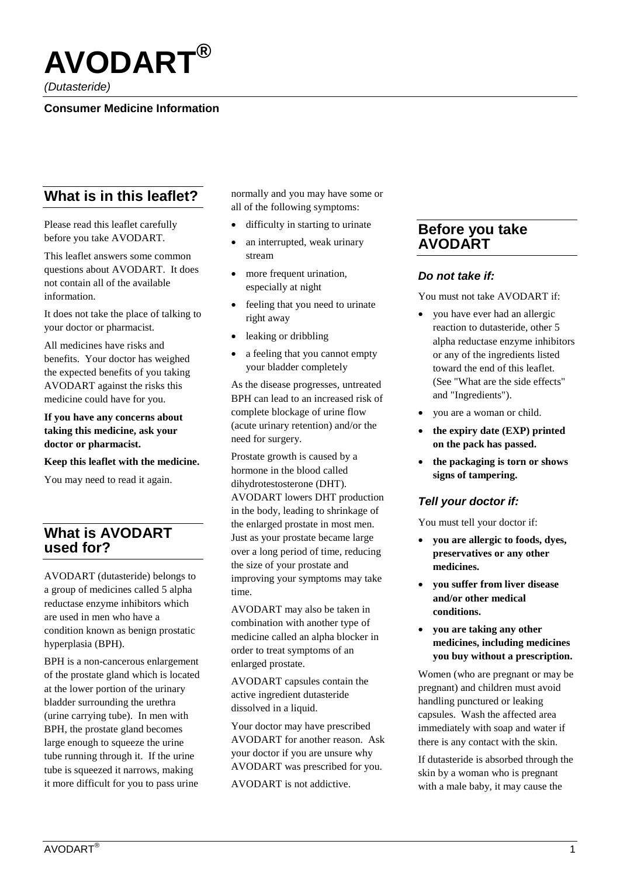

*(Dutasteride)*

### **Consumer Medicine Information**

# **What is in this leaflet?**

Please read this leaflet carefully before you take AVODART.

This leaflet answers some common questions about AVODART. It does not contain all of the available information.

It does not take the place of talking to your doctor or pharmacist.

All medicines have risks and benefits. Your doctor has weighed the expected benefits of you taking AVODART against the risks this medicine could have for you.

#### **If you have any concerns about taking this medicine, ask your doctor or pharmacist.**

#### **Keep this leaflet with the medicine.**

You may need to read it again.

## **What is AVODART used for?**

AVODART (dutasteride) belongs to a group of medicines called 5 alpha reductase enzyme inhibitors which are used in men who have a condition known as benign prostatic hyperplasia (BPH).

BPH is a non-cancerous enlargement of the prostate gland which is located at the lower portion of the urinary bladder surrounding the urethra (urine carrying tube). In men with BPH, the prostate gland becomes large enough to squeeze the urine tube running through it. If the urine tube is squeezed it narrows, making it more difficult for you to pass urine

normally and you may have some or all of the following symptoms:

- difficulty in starting to urinate
- an interrupted, weak urinary stream
- more frequent urination, especially at night
- feeling that you need to urinate right away
- leaking or dribbling
- a feeling that you cannot empty your bladder completely

As the disease progresses, untreated BPH can lead to an increased risk of complete blockage of urine flow (acute urinary retention) and/or the need for surgery.

Prostate growth is caused by a hormone in the blood called dihydrotestosterone (DHT). AVODART lowers DHT production in the body, leading to shrinkage of the enlarged prostate in most men. Just as your prostate became large over a long period of time, reducing the size of your prostate and improving your symptoms may take time.

AVODART may also be taken in combination with another type of medicine called an alpha blocker in order to treat symptoms of an enlarged prostate.

AVODART capsules contain the active ingredient dutasteride dissolved in a liquid.

Your doctor may have prescribed AVODART for another reason. Ask your doctor if you are unsure why AVODART was prescribed for you.

AVODART is not addictive.

### **Before you take AVODART**

### *Do not take if:*

You must not take AVODART if:

- you have ever had an allergic reaction to dutasteride, other 5 alpha reductase enzyme inhibitors or any of the ingredients listed toward the end of this leaflet. (See "What are the side effects" and "Ingredients").
- you are a woman or child.
- **the expiry date (EXP) printed on the pack has passed.**
- **the packaging is torn or shows signs of tampering.**

### *Tell your doctor if:*

You must tell your doctor if:

- **you are allergic to foods, dyes, preservatives or any other medicines.**
- **you suffer from liver disease and/or other medical conditions.**
- **you are taking any other medicines, including medicines you buy without a prescription.**

Women (who are pregnant or may be pregnant) and children must avoid handling punctured or leaking capsules. Wash the affected area immediately with soap and water if there is any contact with the skin.

If dutasteride is absorbed through the skin by a woman who is pregnant with a male baby, it may cause the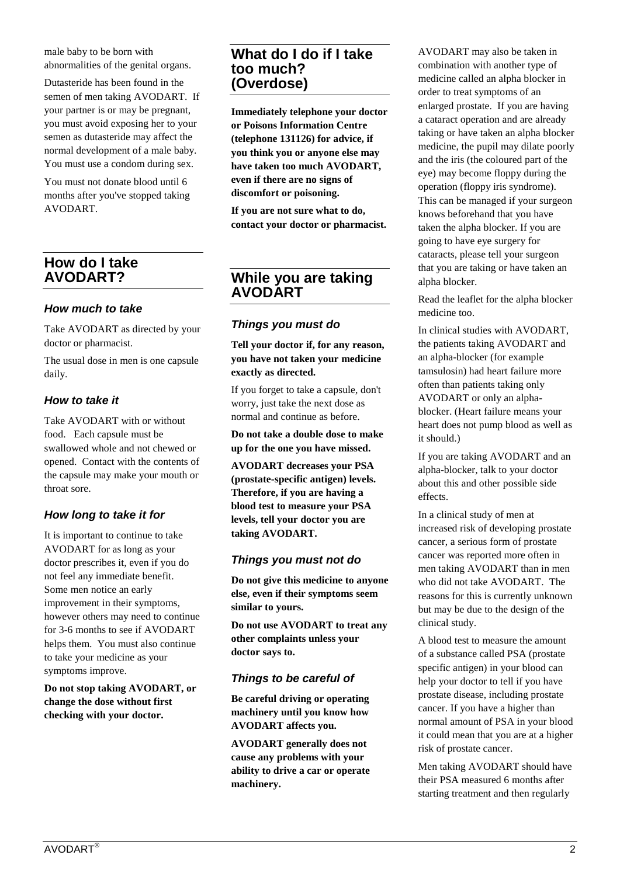male baby to be born with abnormalities of the genital organs.

Dutasteride has been found in the semen of men taking AVODART. If your partner is or may be pregnant, you must avoid exposing her to your semen as dutasteride may affect the normal development of a male baby. You must use a condom during sex.

You must not donate blood until 6 months after you've stopped taking AVODART.

## **How do I take AVODART?**

### *How much to take*

Take AVODART as directed by your doctor or pharmacist.

The usual dose in men is one capsule daily.

### *How to take it*

Take AVODART with or without food. Each capsule must be swallowed whole and not chewed or opened. Contact with the contents of the capsule may make your mouth or throat sore.

### *How long to take it for*

It is important to continue to take AVODART for as long as your doctor prescribes it, even if you do not feel any immediate benefit. Some men notice an early improvement in their symptoms, however others may need to continue for 3-6 months to see if AVODART helps them. You must also continue to take your medicine as your symptoms improve.

**Do not stop taking AVODART, or change the dose without first checking with your doctor.**

## **What do I do if I take too much? (Overdose)**

**Immediately telephone your doctor or Poisons Information Centre (telephone 131126) for advice, if you think you or anyone else may have taken too much AVODART, even if there are no signs of discomfort or poisoning.**

**If you are not sure what to do, contact your doctor or pharmacist.**

## **While you are taking AVODART**

### *Things you must do*

**Tell your doctor if, for any reason, you have not taken your medicine exactly as directed.**

If you forget to take a capsule, don't worry, just take the next dose as normal and continue as before.

**Do not take a double dose to make up for the one you have missed.**

**AVODART decreases your PSA (prostate-specific antigen) levels. Therefore, if you are having a blood test to measure your PSA levels, tell your doctor you are taking AVODART.**

### *Things you must not do*

**Do not give this medicine to anyone else, even if their symptoms seem similar to yours.**

**Do not use AVODART to treat any other complaints unless your doctor says to.**

### *Things to be careful of*

**Be careful driving or operating machinery until you know how AVODART affects you.**

**AVODART generally does not cause any problems with your ability to drive a car or operate machinery.**

AVODART may also be taken in combination with another type of medicine called an alpha blocker in order to treat symptoms of an enlarged prostate. If you are having a cataract operation and are already taking or have taken an alpha blocker medicine, the pupil may dilate poorly and the iris (the coloured part of the eye) may become floppy during the operation (floppy iris syndrome). This can be managed if your surgeon knows beforehand that you have taken the alpha blocker. If you are going to have eye surgery for cataracts, please tell your surgeon that you are taking or have taken an alpha blocker.

Read the leaflet for the alpha blocker medicine too.

In clinical studies with AVODART, the patients taking AVODART and an alpha-blocker (for example tamsulosin) had heart failure more often than patients taking only AVODART or only an alphablocker. (Heart failure means your heart does not pump blood as well as it should.)

If you are taking AVODART and an alpha-blocker, talk to your doctor about this and other possible side effects.

In a clinical study of men at increased risk of developing prostate cancer, a serious form of prostate cancer was reported more often in men taking AVODART than in men who did not take AVODART. The reasons for this is currently unknown but may be due to the design of the clinical study.

A blood test to measure the amount of a substance called PSA (prostate specific antigen) in your blood can help your doctor to tell if you have prostate disease, including prostate cancer. If you have a higher than normal amount of PSA in your blood it could mean that you are at a higher risk of prostate cancer.

Men taking AVODART should have their PSA measured 6 months after starting treatment and then regularly